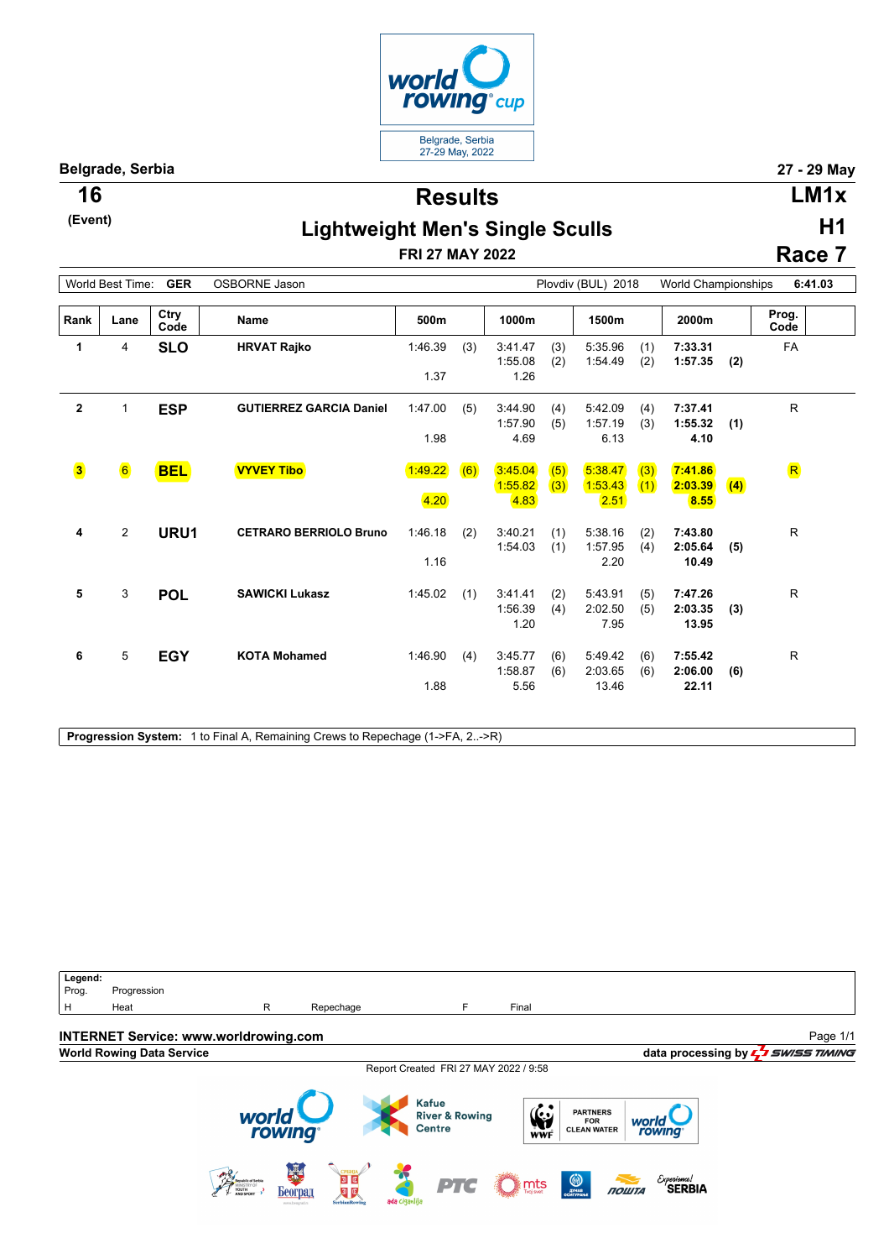

**Belgrade, Serbia 27 - 29 May**

**(Event)**

**Results 16 LM1x**

**H1**

## **Lightweight Men's Single Sculls**

**FRI 27 MAY 2022**

**Race 7**

| World Best Time:<br>GER<br>OSBORNE Jason |                |              |                                |                 |     |                            | Plovdiv (BUL) 2018 |                             |            |                             | World Championships<br>6:41.03 |               |  |  |
|------------------------------------------|----------------|--------------|--------------------------------|-----------------|-----|----------------------------|--------------------|-----------------------------|------------|-----------------------------|--------------------------------|---------------|--|--|
| Rank                                     | Lane           | Ctry<br>Code | <b>Name</b>                    | 500m            |     | 1000m                      |                    | 1500m                       |            | 2000m                       |                                | Prog.<br>Code |  |  |
| 1                                        | 4              | <b>SLO</b>   | <b>HRVAT Rajko</b>             | 1:46.39<br>1.37 | (3) | 3:41.47<br>1:55.08<br>1.26 | (3)<br>(2)         | 5:35.96<br>1:54.49          | (1)<br>(2) | 7:33.31<br>1:57.35          | (2)                            | FA            |  |  |
| $\mathbf{2}$                             | $\mathbf{1}$   | <b>ESP</b>   | <b>GUTIERREZ GARCIA Daniel</b> | 1:47.00         | (5) | 3:44.90<br>1:57.90         | (4)<br>(5)         | 5:42.09<br>1:57.19          | (4)<br>(3) | 7:37.41<br>1:55.32          | (1)                            | R.            |  |  |
| $\overline{\mathbf{3}}$                  | $\bullet$      | <b>BEL</b>   | <b>VYVEY Tibo</b>              | 1.98<br>1:49.22 | (6) | 4.69<br>3:45.04<br>1:55.82 | (5)<br>(3)         | 6.13<br>5:38.47<br>1:53.43  | (3)<br>(1) | 4.10<br>7:41.86<br>2:03.39  | (4)                            | $\mathbf R$   |  |  |
| 4                                        | $\overline{c}$ | URU1         | <b>CETRARO BERRIOLO Bruno</b>  | 4.20<br>1:46.18 | (2) | 4.83<br>3:40.21            | (1)                | 2.51 <br>5:38.16            | (2)        | 8.55<br>7:43.80             |                                | R             |  |  |
|                                          |                |              |                                | 1.16            |     | 1:54.03                    | (1)                | 1:57.95<br>2.20             | (4)        | 2:05.64<br>10.49            | (5)                            |               |  |  |
| 5                                        | 3              | <b>POL</b>   | <b>SAWICKI Lukasz</b>          | 1:45.02         | (1) | 3:41.41<br>1:56.39<br>1.20 | (2)<br>(4)         | 5:43.91<br>2:02.50<br>7.95  | (5)<br>(5) | 7:47.26<br>2:03.35<br>13.95 | (3)                            | R             |  |  |
| 6                                        | 5              | <b>EGY</b>   | <b>KOTA Mohamed</b>            | 1:46.90<br>1.88 | (4) | 3:45.77<br>1:58.87<br>5.56 | (6)<br>(6)         | 5:49.42<br>2:03.65<br>13.46 | (6)<br>(6) | 7:55.42<br>2:06.00<br>22.11 | (6)                            | R             |  |  |

**Progression System:** 1 to Final A, Remaining Crews to Repechage (1->FA, 2..->R)

Legend:<br>Prog. Progression H Heat **R** Repechage **F** Final **INTERNET Service: www.worldrowing.com** Page 1/1**World Rowing Data Service data processing by**  $\frac{1}{2}$  **SWISS TIMING** Report Created FRI 27 MAY 2022 / 9:58 **Kafue**  $\frac{\sum_{v}^{2}}{1+\sum_{v}^{2}}$ PARTNERS<br>FOR<br>CLEAN WATER world **River & Rowing** world Centre rowing Bearing Beorpan **DIE**  $\mathcal{E}$ xperiemce!<br>SERBIA PTC  $\sum_{\text{noise}}$  $n<sub>outra</sub>$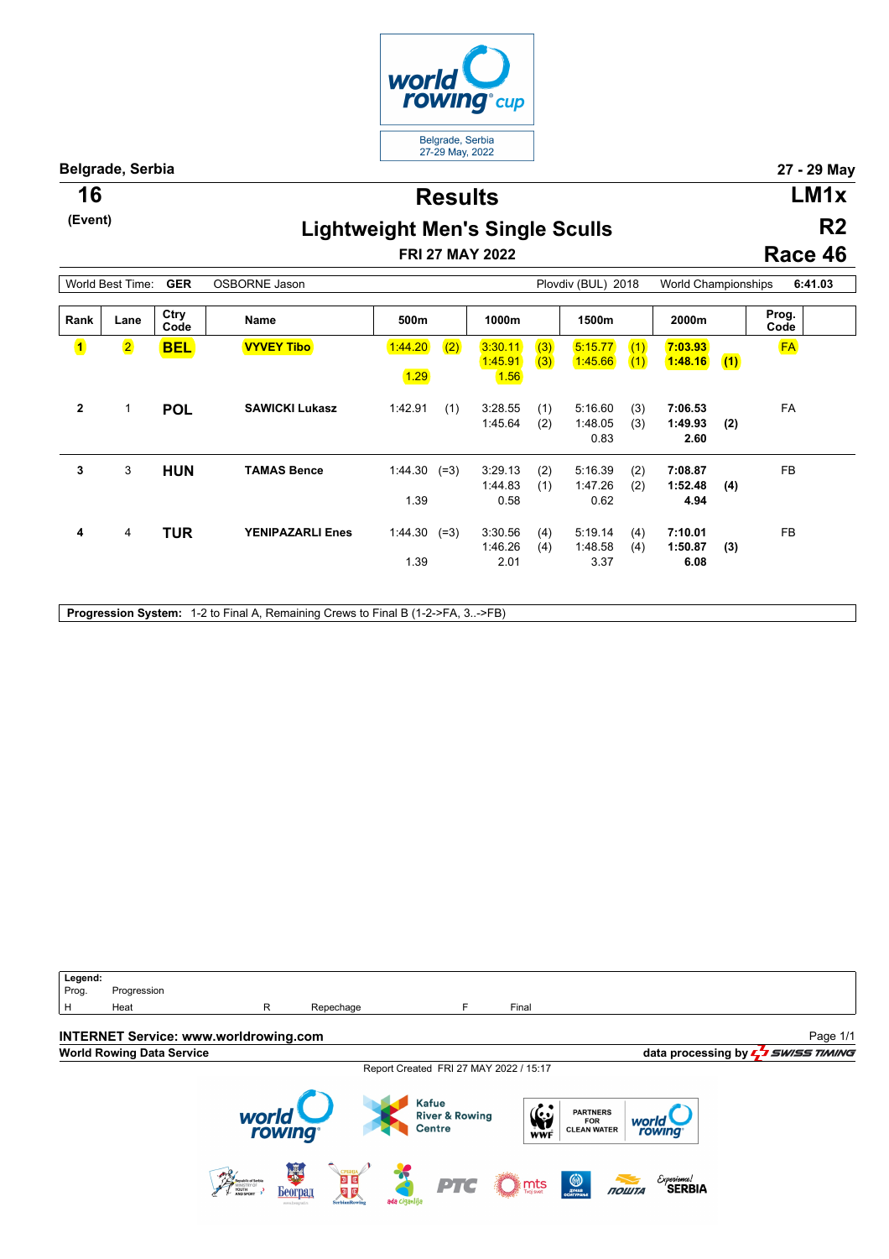

**Belgrade, Serbia 27 - 29 May**

**(Event)**

**Results 16 LM1x**

## **Lightweight Men's Single Sculls**

**FRI 27 MAY 2022**

**R2 Race 46**

| <b>GER</b><br>World Best Time: |                         |              | <b>OSBORNE Jason</b>    | Plovdiv (BUL) 2018       |     |                            | World Championships |                            |            | 6:41.03                    |     |               |  |
|--------------------------------|-------------------------|--------------|-------------------------|--------------------------|-----|----------------------------|---------------------|----------------------------|------------|----------------------------|-----|---------------|--|
| Rank                           | Lane                    | Ctry<br>Code | <b>Name</b>             | 500m                     |     | 1000m                      |                     | 1500m                      |            | 2000m                      |     | Prog.<br>Code |  |
| $\mathbf{1}$                   | $\overline{\mathbf{2}}$ | <b>BEL</b>   | <b>VYVEY Tibo</b>       | 1:44.20                  | (2) | 3:30.11<br>1:45.91         | (3)<br>(3)          | 5:15.77<br>1:45.66         | (1)<br>(1) | 7:03.93<br>1:48.16         | (1) | <b>FA</b>     |  |
| $\mathbf{2}$                   | 1                       | <b>POL</b>   | <b>SAWICKI Lukasz</b>   | 1.29<br>1:42.91          | (1) | 1.56<br>3:28.55            | (1)                 | 5:16.60                    | (3)        | 7:06.53                    |     | FA            |  |
|                                |                         |              |                         |                          |     | 1:45.64                    | (2)                 | 1:48.05<br>0.83            | (3)        | 1:49.93<br>2.60            | (2) |               |  |
| 3                              | 3                       | <b>HUN</b>   | <b>TAMAS Bence</b>      | $1:44.30$ $(=3)$<br>1.39 |     | 3:29.13<br>1:44.83<br>0.58 | (2)<br>(1)          | 5:16.39<br>1:47.26<br>0.62 | (2)<br>(2) | 7:08.87<br>1:52.48<br>4.94 | (4) | FB            |  |
| 4                              | $\overline{4}$          | <b>TUR</b>   | <b>YENIPAZARLI Enes</b> | $1:44.30$ (=3)           |     | 3:30.56<br>1:46.26         | (4)<br>(4)          | 5:19.14<br>1:48.58         | (4)<br>(4) | 7:10.01<br>1:50.87         | (3) | <b>FB</b>     |  |
|                                |                         |              |                         | 1.39                     |     | 2.01                       |                     | 3.37                       |            | 6.08                       |     |               |  |

**Progression System:** 1-2 to Final A, Remaining Crews to Final B (1-2->FA, 3..->FB)